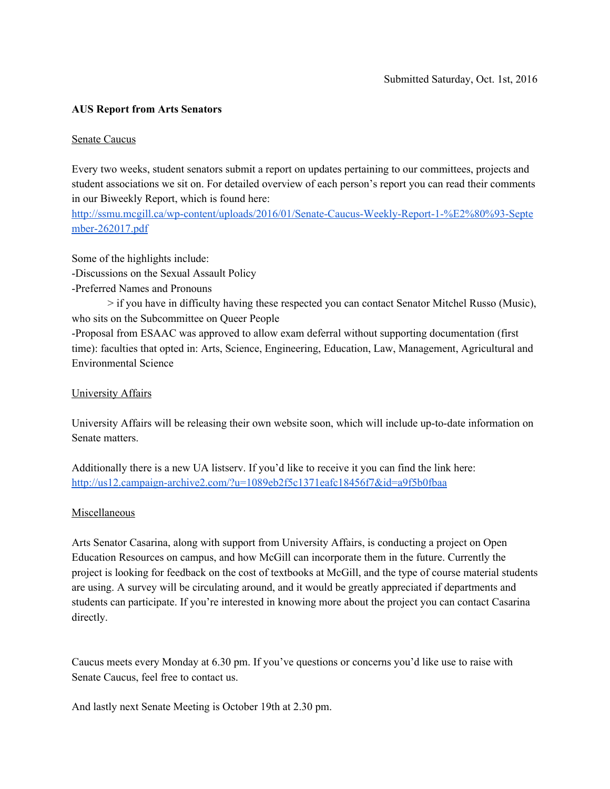## **AUS Report from Arts Senators**

## Senate Caucus

Every two weeks, student senators submit a report on updates pertaining to our committees, projects and student associations we sit on. For detailed overview of each person's report you can read their comments in our Biweekly Report, which is found here:

[http://ssmu.mcgill.ca/wp-content/uploads/2016/01/Senate-Caucus-Weekly-Report-1-%E2%80%93-Septe](http://ssmu.mcgill.ca/wp-content/uploads/2016/01/Senate-Caucus-Weekly-Report-1-%E2%80%93-September-262017.pdf) [mber-262017.pdf](http://ssmu.mcgill.ca/wp-content/uploads/2016/01/Senate-Caucus-Weekly-Report-1-%E2%80%93-September-262017.pdf)

Some of the highlights include:

-Discussions on the Sexual Assault Policy

-Preferred Names and Pronouns

> if you have in difficulty having these respected you can contact Senator Mitchel Russo (Music), who sits on the Subcommittee on Queer People

-Proposal from ESAAC was approved to allow exam deferral without supporting documentation (first time): faculties that opted in: Arts, Science, Engineering, Education, Law, Management, Agricultural and Environmental Science

## University Affairs

University Affairs will be releasing their own website soon, which will include up-to-date information on Senate matters.

Additionally there is a new UA listserv. If you'd like to receive it you can find the link here: <http://us12.campaign-archive2.com/?u=1089eb2f5c1371eafc18456f7&id=a9f5b0fbaa>

## Miscellaneous

Arts Senator Casarina, along with support from University Affairs, is conducting a project on Open Education Resources on campus, and how McGill can incorporate them in the future. Currently the project is looking for feedback on the cost of textbooks at McGill, and the type of course material students are using. A survey will be circulating around, and it would be greatly appreciated if departments and students can participate. If you're interested in knowing more about the project you can contact Casarina directly.

Caucus meets every Monday at 6.30 pm. If you've questions or concerns you'd like use to raise with Senate Caucus, feel free to contact us.

And lastly next Senate Meeting is October 19th at 2.30 pm.